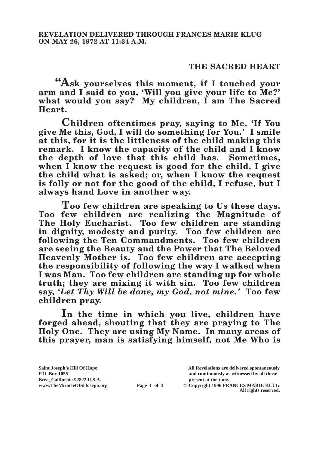## **THE SACRED HEART**

**"Ask yourselves this moment, if I touched your arm and I said to you, 'Will you give your life to Me?' what would you say? My children, I am The Sacred Heart.**

**Children oftentimes pray, saying to Me, 'If You give Me this, God, I will do something for You.' I smile at this, for it is the littleness of the child making this remark. I know the capacity of the child and I know the depth of love that this child has. Sometimes, when I know the request is good for the child, I give the child what is asked; or, when I know the request is folly or not for the good of the child, I refuse, but I always hand Love in another way.**

**Too few children are speaking to Us these days. Too few children are realizing the Magnitude of The Holy Eucharist. Too few children are standing in dignity, modesty and purity. Too few children are following the Ten Commandments. Too few children are seeing the Beauty and the Power that The Beloved Heavenly Mother is. Too few children are accepting the responsibility of following the way I walked when I was Man. Too few children are standing up for whole truth; they are mixing it with sin. Too few children say,** *'Let Thy Will be done, my God, not mine.'* **Too few children pray.**

**In the time in which you live, children have forged ahead, shouting that they are praying to The Holy One. They are using My Name. In many areas of this prayer, man is satisfying himself, not Me Who is** 

**Page 1 of 3** © Copyright 1996 FRANCES MARIE KLUG **All rights reserved.**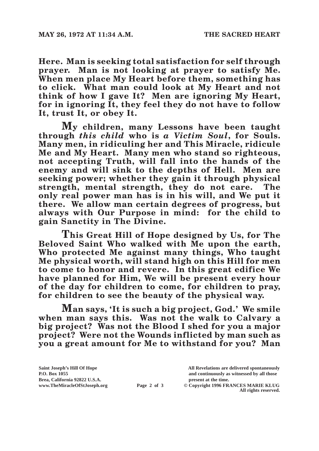**Here. Man is seeking total satisfaction for self through prayer. Man is not looking at prayer to satisfy Me. When men place My Heart before them, something has to click. What man could look at My Heart and not think of how I gave It? Men are ignoring My Heart, for in ignoring It, they feel they do not have to follow It, trust It, or obey It.**

**My children, many Lessons have been taught through** *this child* **who is** *a Victim Soul***, for Souls. Many men, in ridiculing her and This Miracle, ridicule Me and My Heart. Many men who stand so righteous, not accepting Truth, will fall into the hands of the enemy and will sink to the depths of Hell. Men are seeking power; whether they gain it through physical strength, mental strength, they do not care. The only real power man has is in his will, and We put it there. We allow man certain degrees of progress, but always with Our Purpose in mind: for the child to gain Sanctity in The Divine.**

**This Great Hill of Hope designed by Us, for The Beloved Saint Who walked with Me upon the earth, Who protected Me against many things, Who taught Me physical worth, will stand high on this Hill for men to come to honor and revere. In this great edifice We have planned for Him, We will be present every hour of the day for children to come, for children to pray, for children to see the beauty of the physical way.**

**Man says, 'It is such a big project, God.' We smile when man says this. Was not the walk to Calvary a big project? Was not the Blood I shed for you a major project? Were not the Wounds inflicted by man such as you a great amount for Me to withstand for you? Man** 

**Brea, California 92822 U.S.A. present at the time.**<br> **Page 2 of 3** © Copyright 1996 FR.

**Saint Joseph's Hill Of Hope All Revelations are delivered spontaneously P.O. Box 1055 and continuously as witnessed by all those Page 2 of 3** © Copyright 1996 FRANCES MARIE KLUG

**All rights reserved.**